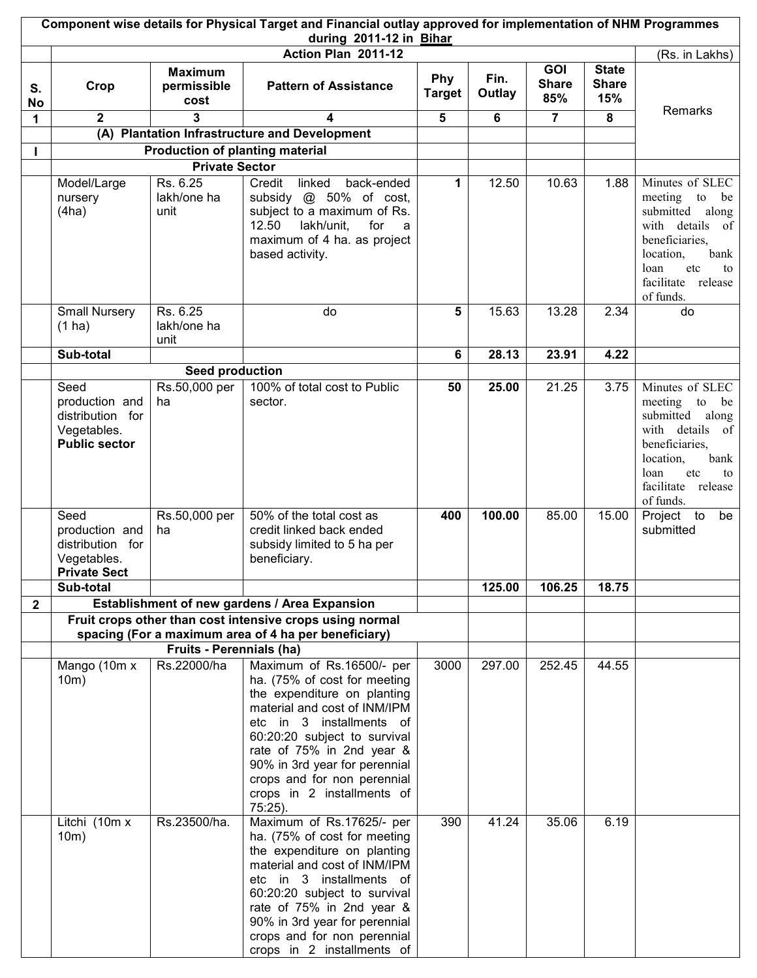|              | Component wise details for Physical Target and Financial outlay approved for implementation of NHM Programmes<br>during 2011-12 in Bihar |                                        |                                                                                                                                                                                                                                                                                                                            |                      |                |                            |                                     |                                                                                                                                                                          |  |
|--------------|------------------------------------------------------------------------------------------------------------------------------------------|----------------------------------------|----------------------------------------------------------------------------------------------------------------------------------------------------------------------------------------------------------------------------------------------------------------------------------------------------------------------------|----------------------|----------------|----------------------------|-------------------------------------|--------------------------------------------------------------------------------------------------------------------------------------------------------------------------|--|
|              |                                                                                                                                          |                                        | Action Plan 2011-12                                                                                                                                                                                                                                                                                                        |                      |                |                            |                                     | (Rs. in Lakhs)                                                                                                                                                           |  |
| S.<br>No     | Crop                                                                                                                                     | <b>Maximum</b><br>permissible<br>cost  | <b>Pattern of Assistance</b>                                                                                                                                                                                                                                                                                               | Phy<br><b>Target</b> | Fin.<br>Outlay | GOI<br><b>Share</b><br>85% | <b>State</b><br><b>Share</b><br>15% |                                                                                                                                                                          |  |
| 1            | $\mathbf{2}$                                                                                                                             | 3                                      | 4                                                                                                                                                                                                                                                                                                                          | 5                    | 6              | $\overline{7}$             | 8                                   | Remarks                                                                                                                                                                  |  |
|              | (A)                                                                                                                                      |                                        | <b>Plantation Infrastructure and Development</b>                                                                                                                                                                                                                                                                           |                      |                |                            |                                     |                                                                                                                                                                          |  |
| L            |                                                                                                                                          | <b>Production of planting material</b> |                                                                                                                                                                                                                                                                                                                            |                      |                |                            |                                     |                                                                                                                                                                          |  |
|              |                                                                                                                                          | <b>Private Sector</b>                  |                                                                                                                                                                                                                                                                                                                            |                      |                |                            |                                     |                                                                                                                                                                          |  |
|              | Model/Large<br>nursery<br>(4ha)                                                                                                          | Rs. 6.25<br>lakh/one ha<br>unit        | Credit<br>linked<br>back-ended<br>subsidy @ 50% of cost,<br>subject to a maximum of Rs.<br>lakh/unit,<br>12.50<br>for<br>a<br>maximum of 4 ha. as project<br>based activity.                                                                                                                                               | 1                    | 12.50          | 10.63                      | 1.88                                | Minutes of SLEC<br>meeting to<br>be<br>submitted along<br>with details of<br>beneficiaries,<br>location,<br>bank<br>loan<br>etc<br>to<br>facilitate release<br>of funds. |  |
|              | <b>Small Nursery</b><br>$(1)$ ha)                                                                                                        | Rs. 6.25<br>lakh/one ha<br>unit        | do                                                                                                                                                                                                                                                                                                                         | 5                    | 15.63          | 13.28                      | 2.34                                | do                                                                                                                                                                       |  |
|              | Sub-total                                                                                                                                |                                        |                                                                                                                                                                                                                                                                                                                            | 6                    | 28.13          | 23.91                      | 4.22                                |                                                                                                                                                                          |  |
|              |                                                                                                                                          | Seed production                        |                                                                                                                                                                                                                                                                                                                            |                      |                |                            |                                     |                                                                                                                                                                          |  |
|              | Seed<br>production and<br>distribution for<br>Vegetables.<br><b>Public sector</b>                                                        | Rs.50,000 per<br>ha                    | 100% of total cost to Public<br>sector.                                                                                                                                                                                                                                                                                    | 50                   | 25.00          | 21.25                      | 3.75                                | Minutes of SLEC<br>meeting to<br>be<br>submitted along<br>with details of<br>beneficiaries,<br>location,<br>bank<br>etc<br>loan<br>to<br>facilitate release<br>of funds. |  |
|              | Seed<br>production and<br>distribution for<br>Vegetables.<br><b>Private Sect</b>                                                         | Rs.50,000 per<br>ha                    | 50% of the total cost as<br>credit linked back ended<br>subsidy limited to 5 ha per<br>beneficiary.                                                                                                                                                                                                                        | 400                  | 100.00         | 85.00                      | 15.00                               | Project to<br>be<br>submitted                                                                                                                                            |  |
|              | Sub-total                                                                                                                                |                                        |                                                                                                                                                                                                                                                                                                                            |                      | 125.00         | 106.25                     | 18.75                               |                                                                                                                                                                          |  |
| $\mathbf{2}$ |                                                                                                                                          |                                        | Establishment of new gardens / Area Expansion                                                                                                                                                                                                                                                                              |                      |                |                            |                                     |                                                                                                                                                                          |  |
|              |                                                                                                                                          |                                        | Fruit crops other than cost intensive crops using normal                                                                                                                                                                                                                                                                   |                      |                |                            |                                     |                                                                                                                                                                          |  |
|              |                                                                                                                                          |                                        | spacing (For a maximum area of 4 ha per beneficiary)                                                                                                                                                                                                                                                                       |                      |                |                            |                                     |                                                                                                                                                                          |  |
|              |                                                                                                                                          | <b>Fruits - Perennials (ha)</b>        |                                                                                                                                                                                                                                                                                                                            |                      |                |                            |                                     |                                                                                                                                                                          |  |
|              | Mango (10m x<br>10m)                                                                                                                     | Rs.22000/ha                            | Maximum of Rs.16500/- per<br>ha. (75% of cost for meeting<br>the expenditure on planting<br>material and cost of INM/IPM<br>etc in 3 installments of<br>60:20:20 subject to survival<br>rate of 75% in 2nd year &<br>90% in 3rd year for perennial<br>crops and for non perennial<br>crops in 2 installments of<br>75:25). | 3000                 | 297.00         | 252.45                     | 44.55                               |                                                                                                                                                                          |  |
|              | Litchi $\overline{(10m \times)}$<br>10m)                                                                                                 | Rs.23500/ha.                           | Maximum of Rs.17625/- per<br>ha. (75% of cost for meeting<br>the expenditure on planting<br>material and cost of INM/IPM<br>etc in 3 installments of<br>60:20:20 subject to survival<br>rate of 75% in 2nd year &<br>90% in 3rd year for perennial<br>crops and for non perennial<br>crops in 2 installments of            | 390                  | 41.24          | 35.06                      | 6.19                                |                                                                                                                                                                          |  |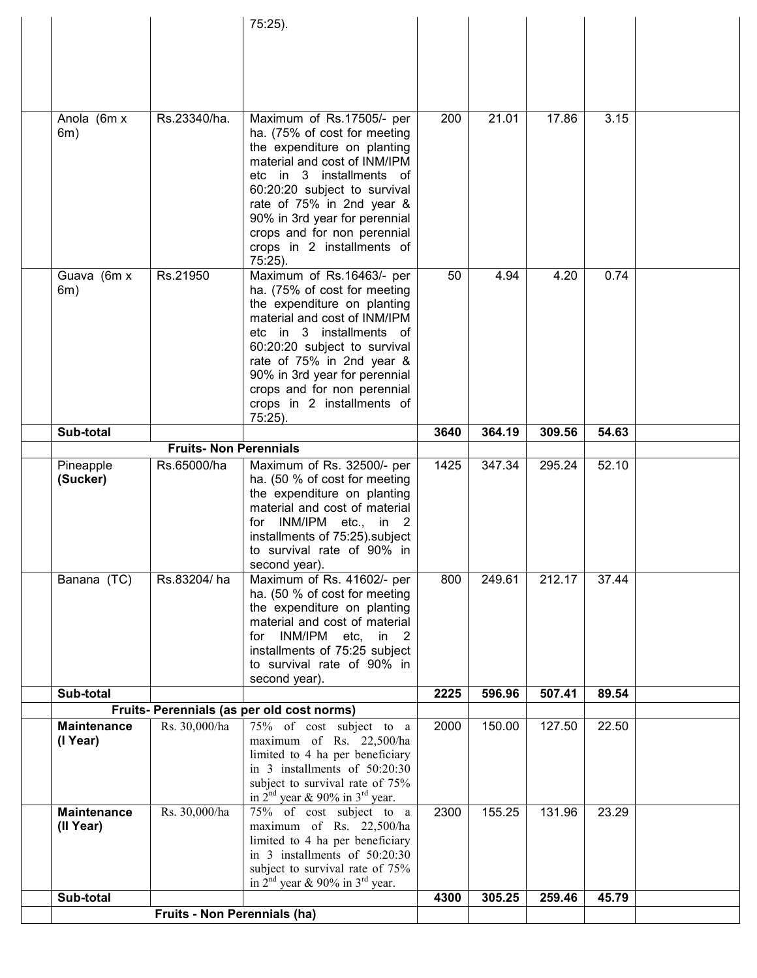|                    |                               | 75:25).                                                          |      |        |        |       |  |
|--------------------|-------------------------------|------------------------------------------------------------------|------|--------|--------|-------|--|
|                    |                               |                                                                  |      |        |        |       |  |
|                    |                               |                                                                  |      |        |        |       |  |
|                    |                               |                                                                  |      |        |        |       |  |
|                    |                               |                                                                  |      |        |        |       |  |
| Anola (6m x        | Rs.23340/ha.                  | Maximum of Rs.17505/- per                                        | 200  | 21.01  | 17.86  | 3.15  |  |
| 6m)                |                               | ha. (75% of cost for meeting                                     |      |        |        |       |  |
|                    |                               | the expenditure on planting                                      |      |        |        |       |  |
|                    |                               | material and cost of INM/IPM                                     |      |        |        |       |  |
|                    |                               | etc in 3 installments of                                         |      |        |        |       |  |
|                    |                               | 60:20:20 subject to survival<br>rate of 75% in 2nd year &        |      |        |        |       |  |
|                    |                               | 90% in 3rd year for perennial                                    |      |        |        |       |  |
|                    |                               | crops and for non perennial                                      |      |        |        |       |  |
|                    |                               | crops in 2 installments of                                       |      |        |        |       |  |
|                    |                               | 75:25).                                                          |      |        |        |       |  |
| Guava (6m x<br>6m) | Rs.21950                      | Maximum of Rs.16463/- per<br>ha. (75% of cost for meeting        | 50   | 4.94   | 4.20   | 0.74  |  |
|                    |                               | the expenditure on planting                                      |      |        |        |       |  |
|                    |                               | material and cost of INM/IPM                                     |      |        |        |       |  |
|                    |                               | etc in 3 installments of                                         |      |        |        |       |  |
|                    |                               | 60:20:20 subject to survival                                     |      |        |        |       |  |
|                    |                               | rate of 75% in 2nd year &<br>90% in 3rd year for perennial       |      |        |        |       |  |
|                    |                               | crops and for non perennial                                      |      |        |        |       |  |
|                    |                               | crops in 2 installments of                                       |      |        |        |       |  |
|                    |                               | 75:25).                                                          |      |        |        |       |  |
| Sub-total          | <b>Fruits- Non Perennials</b> |                                                                  | 3640 | 364.19 | 309.56 | 54.63 |  |
| Pineapple          | Rs.65000/ha                   | Maximum of Rs. 32500/- per                                       | 1425 | 347.34 | 295.24 | 52.10 |  |
| (Sucker)           |                               | ha. (50 % of cost for meeting                                    |      |        |        |       |  |
|                    |                               | the expenditure on planting                                      |      |        |        |       |  |
|                    |                               | material and cost of material                                    |      |        |        |       |  |
|                    |                               | for INM/IPM etc., in 2<br>installments of 75:25).subject         |      |        |        |       |  |
|                    |                               | to survival rate of 90% in                                       |      |        |        |       |  |
|                    |                               | second year).                                                    |      |        |        |       |  |
| Banana (TC)        | Rs.83204/ha                   | Maximum of Rs. 41602/- per                                       | 800  | 249.61 | 212.17 | 37.44 |  |
|                    |                               | ha. (50 % of cost for meeting<br>the expenditure on planting     |      |        |        |       |  |
|                    |                               | material and cost of material                                    |      |        |        |       |  |
|                    |                               | INM/IPM etc, in 2<br>for                                         |      |        |        |       |  |
|                    |                               | installments of 75:25 subject                                    |      |        |        |       |  |
|                    |                               | to survival rate of 90% in                                       |      |        |        |       |  |
| Sub-total          |                               | second year).                                                    | 2225 | 596.96 | 507.41 | 89.54 |  |
|                    |                               | Fruits- Perennials (as per old cost norms)                       |      |        |        |       |  |
| <b>Maintenance</b> | Rs. 30,000/ha                 | 75% of cost subject to a                                         | 2000 | 150.00 | 127.50 | 22.50 |  |
| (I Year)           |                               | maximum of Rs. 22,500/ha                                         |      |        |        |       |  |
|                    |                               | limited to 4 ha per beneficiary<br>in 3 installments of 50:20:30 |      |        |        |       |  |
|                    |                               | subject to survival rate of 75%                                  |      |        |        |       |  |
|                    |                               | in $2^{nd}$ year & 90% in $3^{rd}$ year.                         |      |        |        |       |  |
| <b>Maintenance</b> | Rs. 30,000/ha                 | 75% of cost subject to a                                         | 2300 | 155.25 | 131.96 | 23.29 |  |
| (II Year)          |                               | maximum of Rs. 22,500/ha<br>limited to 4 ha per beneficiary      |      |        |        |       |  |
|                    |                               | in 3 installments of 50:20:30                                    |      |        |        |       |  |
|                    |                               | subject to survival rate of 75%                                  |      |        |        |       |  |
|                    |                               | in $2nd$ year & 90% in $3rd$ year.                               |      |        |        |       |  |
| Sub-total          | Fruits - Non Perennials (ha)  |                                                                  | 4300 | 305.25 | 259.46 | 45.79 |  |
|                    |                               |                                                                  |      |        |        |       |  |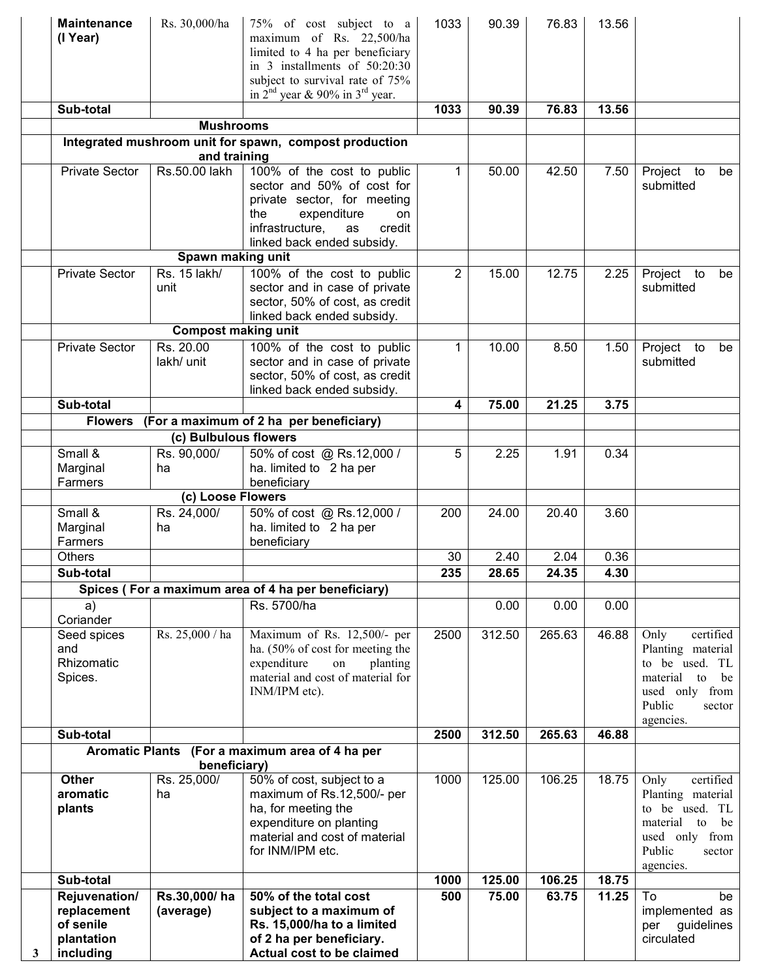|   | <b>Maintenance</b><br>(I Year)                                       | Rs. 30,000/ha                      | 75% of cost subject to a<br>maximum of Rs. 22,500/ha<br>limited to 4 ha per beneficiary<br>in 3 installments of 50:20:30<br>subject to survival rate of 75%<br>in $2nd$ year & 90% in $3rd$ year. | 1033           | 90.39  | 76.83  | 13.56 |                                                                                                                                     |
|---|----------------------------------------------------------------------|------------------------------------|---------------------------------------------------------------------------------------------------------------------------------------------------------------------------------------------------|----------------|--------|--------|-------|-------------------------------------------------------------------------------------------------------------------------------------|
|   | Sub-total                                                            |                                    |                                                                                                                                                                                                   | 1033           | 90.39  | 76.83  | 13.56 |                                                                                                                                     |
|   |                                                                      | <b>Mushrooms</b>                   |                                                                                                                                                                                                   |                |        |        |       |                                                                                                                                     |
|   |                                                                      |                                    | Integrated mushroom unit for spawn, compost production                                                                                                                                            |                |        |        |       |                                                                                                                                     |
|   |                                                                      | and training                       |                                                                                                                                                                                                   |                |        |        |       |                                                                                                                                     |
|   | <b>Private Sector</b>                                                | Rs.50.00 lakh<br>Spawn making unit | 100% of the cost to public<br>sector and 50% of cost for<br>private sector, for meeting<br>the<br>expenditure<br>on.<br>infrastructure,<br>credit<br>as<br>linked back ended subsidy.             | 1              | 50.00  | 42.50  | 7.50  | Project to<br>be<br>submitted                                                                                                       |
|   | <b>Private Sector</b>                                                | Rs. 15 lakh/                       | 100% of the cost to public                                                                                                                                                                        | $\overline{2}$ | 15.00  | 12.75  | 2.25  | Project to<br>be                                                                                                                    |
|   |                                                                      | unit                               | sector and in case of private<br>sector, 50% of cost, as credit<br>linked back ended subsidy.                                                                                                     |                |        |        |       | submitted                                                                                                                           |
|   |                                                                      | <b>Compost making unit</b>         |                                                                                                                                                                                                   |                |        |        |       |                                                                                                                                     |
|   | <b>Private Sector</b>                                                | Rs. 20.00<br>lakh/ unit            | 100% of the cost to public<br>sector and in case of private<br>sector, 50% of cost, as credit<br>linked back ended subsidy.                                                                       | 1              | 10.00  | 8.50   | 1.50  | Project to<br>be<br>submitted                                                                                                       |
|   | Sub-total                                                            |                                    |                                                                                                                                                                                                   | 4              | 75.00  | 21.25  | 3.75  |                                                                                                                                     |
|   | <b>Flowers</b>                                                       |                                    | (For a maximum of 2 ha per beneficiary)                                                                                                                                                           |                |        |        |       |                                                                                                                                     |
|   |                                                                      | (c) Bulbulous flowers              |                                                                                                                                                                                                   |                |        |        |       |                                                                                                                                     |
|   | Small &<br>Marginal<br>Farmers                                       | Rs. 90,000/<br>ha                  | 50% of cost @ Rs.12,000 /<br>ha. limited to 2 ha per<br>beneficiary                                                                                                                               | 5              | 2.25   | 1.91   | 0.34  |                                                                                                                                     |
|   |                                                                      | (c) Loose Flowers                  |                                                                                                                                                                                                   |                |        |        |       |                                                                                                                                     |
|   | Small &<br>Marginal<br>Farmers                                       | Rs. 24,000/<br>ha                  | 50% of cost @ Rs.12,000 /<br>ha. limited to 2 ha per<br>beneficiary                                                                                                                               | 200            | 24.00  | 20.40  | 3.60  |                                                                                                                                     |
|   | <b>Others</b>                                                        |                                    |                                                                                                                                                                                                   | 30             | 2.40   | 2.04   | 0.36  |                                                                                                                                     |
|   | Sub-total                                                            |                                    |                                                                                                                                                                                                   | 235            | 28.65  | 24.35  | 4.30  |                                                                                                                                     |
|   |                                                                      |                                    | Spices (For a maximum area of 4 ha per beneficiary)                                                                                                                                               |                |        |        |       |                                                                                                                                     |
|   | a)<br>Coriander                                                      |                                    | Rs. 5700/ha                                                                                                                                                                                       |                | 0.00   | 0.00   | 0.00  |                                                                                                                                     |
|   | Seed spices<br>and<br>Rhizomatic<br>Spices.                          | Rs. 25,000 / ha                    | Maximum of Rs. 12,500/- per<br>ha. (50% of cost for meeting the<br>expenditure<br>on<br>planting<br>material and cost of material for<br>INM/IPM etc).                                            | 2500           | 312.50 | 265.63 | 46.88 | Only<br>certified<br>Planting material<br>to be used. TL<br>material to<br>be<br>used only from<br>Public<br>sector<br>agencies.    |
|   | Sub-total                                                            |                                    |                                                                                                                                                                                                   | 2500           | 312.50 | 265.63 | 46.88 |                                                                                                                                     |
|   |                                                                      | beneficiary)                       | Aromatic Plants (For a maximum area of 4 ha per                                                                                                                                                   |                |        |        |       |                                                                                                                                     |
|   | <b>Other</b><br>aromatic<br>plants                                   | Rs. 25,000/<br>ha                  | 50% of cost, subject to a<br>maximum of Rs.12,500/- per<br>ha, for meeting the<br>expenditure on planting<br>material and cost of material<br>for INM/IPM etc.                                    | 1000           | 125.00 | 106.25 | 18.75 | certified<br>Only<br>Planting material<br>to be used. TL<br>material<br>be<br>to<br>used only from<br>Public<br>sector<br>agencies. |
|   | Sub-total                                                            |                                    |                                                                                                                                                                                                   | 1000           | 125.00 | 106.25 | 18.75 |                                                                                                                                     |
| 3 | Rejuvenation/<br>replacement<br>of senile<br>plantation<br>including | Rs.30,000/ha<br>(average)          | 50% of the total cost<br>subject to a maximum of<br>Rs. 15,000/ha to a limited<br>of 2 ha per beneficiary.<br>Actual cost to be claimed                                                           | 500            | 75.00  | 63.75  | 11.25 | To<br>be<br>implemented as<br>guidelines<br>per<br>circulated                                                                       |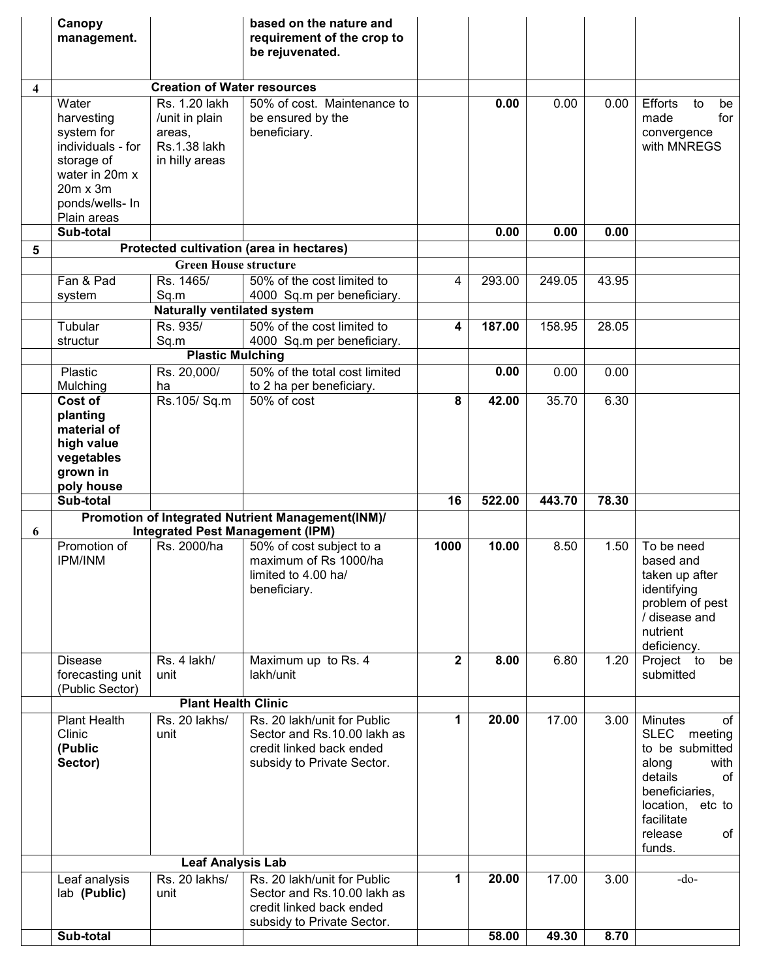|   | Canopy<br>management.                                                                                                        |                                                                             | based on the nature and<br>requirement of the crop to<br>be rejuvenated.                                             |                |        |        |       |                                                                                                                                                                                       |
|---|------------------------------------------------------------------------------------------------------------------------------|-----------------------------------------------------------------------------|----------------------------------------------------------------------------------------------------------------------|----------------|--------|--------|-------|---------------------------------------------------------------------------------------------------------------------------------------------------------------------------------------|
|   |                                                                                                                              | <b>Creation of Water resources</b>                                          |                                                                                                                      |                |        |        |       |                                                                                                                                                                                       |
| 4 | Water<br>harvesting<br>system for<br>individuals - for<br>storage of<br>water in 20m x<br>$20m \times 3m$<br>ponds/wells- In | Rs. 1.20 lakh<br>/unit in plain<br>areas,<br>Rs.1.38 lakh<br>in hilly areas | 50% of cost. Maintenance to<br>be ensured by the<br>beneficiary.                                                     |                | 0.00   | 0.00   | 0.00  | <b>Efforts</b><br>to<br>be<br>for<br>made<br>convergence<br>with MNREGS                                                                                                               |
|   | Plain areas<br>Sub-total                                                                                                     |                                                                             |                                                                                                                      |                | 0.00   | 0.00   | 0.00  |                                                                                                                                                                                       |
| 5 |                                                                                                                              |                                                                             | Protected cultivation (area in hectares)                                                                             |                |        |        |       |                                                                                                                                                                                       |
|   |                                                                                                                              | <b>Green House structure</b>                                                |                                                                                                                      |                |        |        |       |                                                                                                                                                                                       |
|   | Fan & Pad                                                                                                                    | Rs. 1465/                                                                   | 50% of the cost limited to                                                                                           | 4              | 293.00 | 249.05 | 43.95 |                                                                                                                                                                                       |
|   | system                                                                                                                       | Sq.m                                                                        | 4000 Sq.m per beneficiary.                                                                                           |                |        |        |       |                                                                                                                                                                                       |
|   |                                                                                                                              | <b>Naturally ventilated system</b>                                          |                                                                                                                      |                |        |        |       |                                                                                                                                                                                       |
|   | Tubular<br>structur                                                                                                          | Rs. 935/<br>Sq.m                                                            | 50% of the cost limited to<br>4000 Sq.m per beneficiary.                                                             | 4              | 187.00 | 158.95 | 28.05 |                                                                                                                                                                                       |
|   |                                                                                                                              | <b>Plastic Mulching</b>                                                     |                                                                                                                      |                |        |        |       |                                                                                                                                                                                       |
|   | Plastic<br>Mulching                                                                                                          | Rs. 20,000/<br>ha                                                           | 50% of the total cost limited<br>to 2 ha per beneficiary.                                                            |                | 0.00   | 0.00   | 0.00  |                                                                                                                                                                                       |
|   | Cost of<br>planting<br>material of                                                                                           | Rs.105/Sq.m                                                                 | 50% of cost                                                                                                          | 8              | 42.00  | 35.70  | 6.30  |                                                                                                                                                                                       |
|   | high value<br>vegetables<br>grown in<br>poly house                                                                           |                                                                             |                                                                                                                      |                |        |        |       |                                                                                                                                                                                       |
|   | Sub-total                                                                                                                    |                                                                             |                                                                                                                      | 16             | 522.00 | 443.70 | 78.30 |                                                                                                                                                                                       |
|   |                                                                                                                              |                                                                             | Promotion of Integrated Nutrient Management(INM)/                                                                    |                |        |        |       |                                                                                                                                                                                       |
| 6 |                                                                                                                              |                                                                             | <b>Integrated Pest Management (IPM)</b>                                                                              |                |        |        |       |                                                                                                                                                                                       |
|   | Promotion of<br><b>IPM/INM</b>                                                                                               | Rs. 2000/ha                                                                 | 50% of cost subject to a<br>maximum of Rs 1000/ha<br>limited to 4.00 ha/<br>beneficiary.                             | 1000           | 10.00  | 8.50   | 1.50  | To be need<br>based and<br>taken up after<br>identifying<br>problem of pest<br>/ disease and<br>nutrient<br>deficiency.                                                               |
|   | <b>Disease</b><br>forecasting unit<br>(Public Sector)                                                                        | Rs. 4 lakh/<br>unit                                                         | Maximum up to Rs. 4<br>lakh/unit                                                                                     | $\overline{2}$ | 8.00   | 6.80   | 1.20  | Project to<br>be<br>submitted                                                                                                                                                         |
|   |                                                                                                                              | <b>Plant Health Clinic</b>                                                  |                                                                                                                      |                |        |        |       |                                                                                                                                                                                       |
|   | <b>Plant Health</b><br>Clinic<br>(Public<br>Sector)                                                                          | Rs. 20 lakhs/<br>unit                                                       | Rs. 20 lakh/unit for Public<br>Sector and Rs.10.00 lakh as<br>credit linked back ended<br>subsidy to Private Sector. | 1              | 20.00  | 17.00  | 3.00  | <b>Minutes</b><br>of<br><b>SLEC</b><br>meeting<br>to be submitted<br>along<br>with<br>details<br>of<br>beneficiaries,<br>location,<br>etc to<br>facilitate<br>of<br>release<br>funds. |
|   |                                                                                                                              | <b>Leaf Analysis Lab</b><br>Rs. 20 lakhs/                                   | Rs. 20 lakh/unit for Public                                                                                          | 1              | 20.00  | 17.00  | 3.00  | $-do-$                                                                                                                                                                                |
|   | Leaf analysis<br>lab (Public)                                                                                                | unit                                                                        | Sector and Rs.10.00 lakh as<br>credit linked back ended<br>subsidy to Private Sector.                                |                |        |        |       |                                                                                                                                                                                       |
|   | Sub-total                                                                                                                    |                                                                             |                                                                                                                      |                | 58.00  | 49.30  | 8.70  |                                                                                                                                                                                       |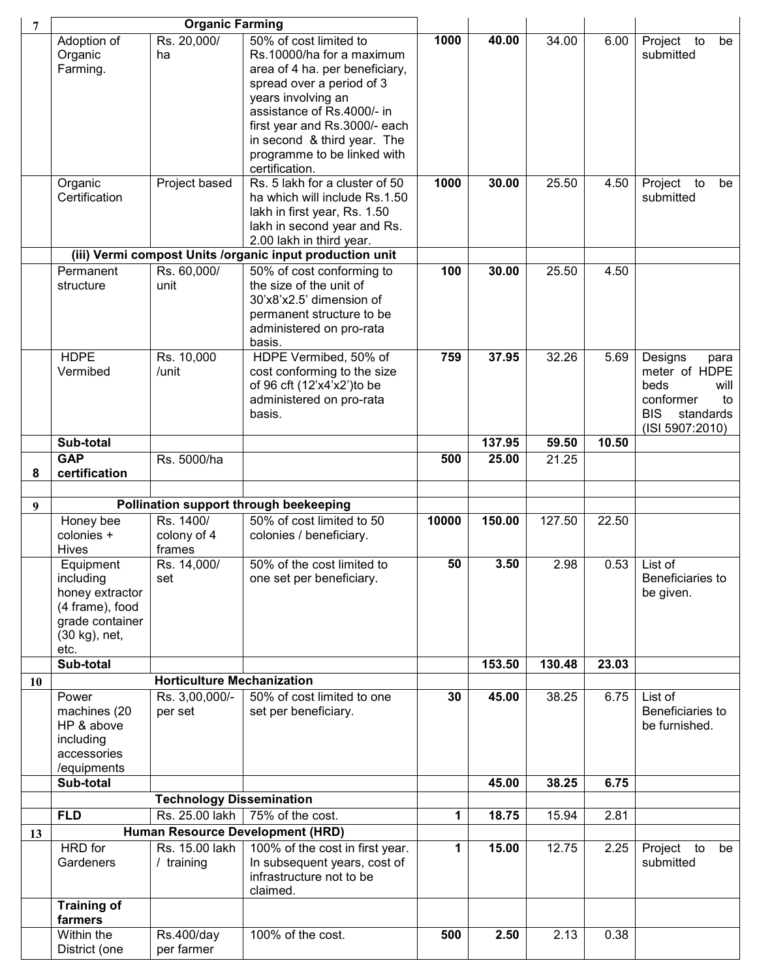| 7  |                                                                                                  | <b>Organic Farming</b>             |                                                                                                                                                            |              |        |        |       |                                                                                                                   |
|----|--------------------------------------------------------------------------------------------------|------------------------------------|------------------------------------------------------------------------------------------------------------------------------------------------------------|--------------|--------|--------|-------|-------------------------------------------------------------------------------------------------------------------|
|    | Adoption of<br>Organic<br>Farming.                                                               | Rs. 20,000/<br>ha                  | 50% of cost limited to<br>Rs.10000/ha for a maximum<br>area of 4 ha. per beneficiary,                                                                      | 1000         | 40.00  | 34.00  | 6.00  | Project to<br>be<br>submitted                                                                                     |
|    |                                                                                                  |                                    | spread over a period of 3<br>years involving an                                                                                                            |              |        |        |       |                                                                                                                   |
|    |                                                                                                  |                                    | assistance of Rs.4000/- in<br>first year and Rs.3000/- each<br>in second & third year. The                                                                 |              |        |        |       |                                                                                                                   |
|    |                                                                                                  |                                    | programme to be linked with<br>certification.                                                                                                              |              |        |        |       |                                                                                                                   |
|    | Organic<br>Certification                                                                         | Project based                      | Rs. 5 lakh for a cluster of 50<br>ha which will include Rs.1.50<br>lakh in first year, Rs. 1.50<br>lakh in second year and Rs.<br>2.00 lakh in third year. | 1000         | 30.00  | 25.50  | 4.50  | Project<br>to<br>be<br>submitted                                                                                  |
|    |                                                                                                  |                                    | (iii) Vermi compost Units /organic input production unit                                                                                                   |              |        |        |       |                                                                                                                   |
|    | Permanent<br>structure                                                                           | Rs. 60,000/<br>unit                | 50% of cost conforming to<br>the size of the unit of<br>30'x8'x2.5' dimension of<br>permanent structure to be                                              | 100          | 30.00  | 25.50  | 4.50  |                                                                                                                   |
|    |                                                                                                  |                                    | administered on pro-rata<br>basis.                                                                                                                         |              |        |        |       |                                                                                                                   |
|    | <b>HDPE</b><br>Vermibed                                                                          | Rs. 10,000<br>/unit                | HDPE Vermibed, 50% of<br>cost conforming to the size<br>of 96 cft (12'x4'x2') to be<br>administered on pro-rata<br>basis.                                  | 759          | 37.95  | 32.26  | 5.69  | Designs<br>para<br>meter of HDPE<br>beds<br>will<br>conformer<br>to<br><b>BIS</b><br>standards<br>(ISI 5907:2010) |
|    | Sub-total                                                                                        |                                    |                                                                                                                                                            |              | 137.95 | 59.50  | 10.50 |                                                                                                                   |
| 8  | <b>GAP</b><br>certification                                                                      | Rs. 5000/ha                        |                                                                                                                                                            | 500          | 25.00  | 21.25  |       |                                                                                                                   |
|    |                                                                                                  |                                    |                                                                                                                                                            |              |        |        |       |                                                                                                                   |
| 9  |                                                                                                  |                                    | Pollination support through beekeeping                                                                                                                     |              |        |        |       |                                                                                                                   |
|    | Honey bee<br>colonies +<br><b>Hives</b>                                                          | Rs. 1400/<br>colony of 4<br>frames | 50% of cost limited to 50<br>colonies / beneficiary.                                                                                                       | 10000        | 150.00 | 127.50 | 22.50 |                                                                                                                   |
|    | Equipment<br>including<br>honey extractor<br>(4 frame), food<br>grade container<br>(30 kg), net, | Rs. 14,000/<br>set                 | 50% of the cost limited to<br>one set per beneficiary.                                                                                                     | 50           | 3.50   | 2.98   | 0.53  | List of<br>Beneficiaries to<br>be given.                                                                          |
|    | etc.<br>Sub-total                                                                                |                                    |                                                                                                                                                            |              | 153.50 | 130.48 | 23.03 |                                                                                                                   |
| 10 |                                                                                                  | <b>Horticulture Mechanization</b>  |                                                                                                                                                            |              |        |        |       |                                                                                                                   |
|    | Power<br>machines (20<br>HP & above<br>including                                                 | Rs. 3,00,000/-<br>per set          | 50% of cost limited to one<br>set per beneficiary.                                                                                                         | 30           | 45.00  | 38.25  | 6.75  | List of<br>Beneficiaries to<br>be furnished.                                                                      |
|    | accessories<br>/equipments                                                                       |                                    |                                                                                                                                                            |              |        |        |       |                                                                                                                   |
|    | Sub-total                                                                                        |                                    |                                                                                                                                                            |              | 45.00  | 38.25  | 6.75  |                                                                                                                   |
|    |                                                                                                  | <b>Technology Dissemination</b>    |                                                                                                                                                            |              |        |        |       |                                                                                                                   |
|    | <b>FLD</b>                                                                                       | Rs. 25.00 lakh                     | 75% of the cost.                                                                                                                                           | $\mathbf{1}$ | 18.75  | 15.94  | 2.81  |                                                                                                                   |
| 13 |                                                                                                  |                                    | Human Resource Development (HRD)                                                                                                                           |              |        |        |       |                                                                                                                   |
|    | HRD for<br>Gardeners                                                                             | Rs. 15.00 lakh<br>/ training       | 100% of the cost in first year.<br>In subsequent years, cost of<br>infrastructure not to be<br>claimed.                                                    | 1            | 15.00  | 12.75  | 2.25  | Project to<br>be<br>submitted                                                                                     |
|    | <b>Training of</b><br>farmers<br>Within the                                                      | Rs.400/day                         | 100% of the cost.                                                                                                                                          | 500          | 2.50   | 2.13   | 0.38  |                                                                                                                   |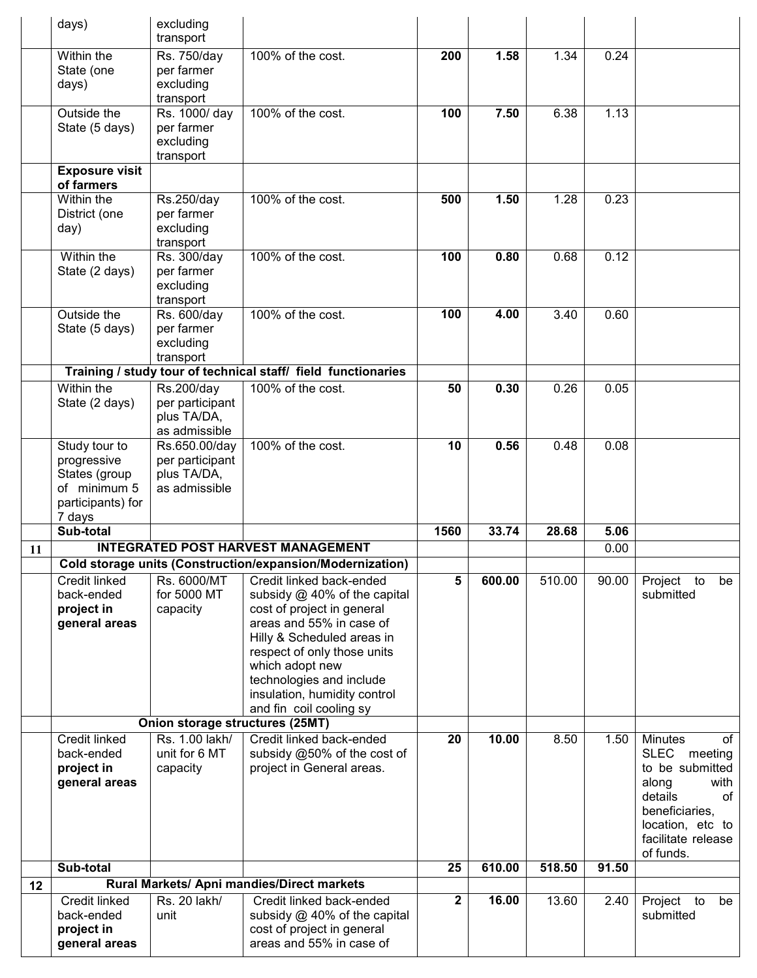|    | days)                                                                                        | excluding<br>transport                                           |                                                                                                                                                                                                                                                                 |              |        |        |       |                                                                                                                                            |
|----|----------------------------------------------------------------------------------------------|------------------------------------------------------------------|-----------------------------------------------------------------------------------------------------------------------------------------------------------------------------------------------------------------------------------------------------------------|--------------|--------|--------|-------|--------------------------------------------------------------------------------------------------------------------------------------------|
|    | Within the<br>State (one<br>days)                                                            | Rs. 750/day<br>per farmer<br>excluding<br>transport              | 100% of the cost.                                                                                                                                                                                                                                               | 200          | 1.58   | 1.34   | 0.24  |                                                                                                                                            |
|    | Outside the<br>State (5 days)                                                                | Rs. 1000/ day<br>per farmer<br>excluding<br>transport            | 100% of the cost.                                                                                                                                                                                                                                               | 100          | 7.50   | 6.38   | 1.13  |                                                                                                                                            |
|    | <b>Exposure visit</b><br>of farmers                                                          |                                                                  |                                                                                                                                                                                                                                                                 |              |        |        |       |                                                                                                                                            |
|    | Within the<br>District (one<br>day)                                                          | Rs.250/day<br>per farmer<br>excluding<br>transport               | 100% of the cost.                                                                                                                                                                                                                                               | 500          | 1.50   | 1.28   | 0.23  |                                                                                                                                            |
|    | Within the<br>State (2 days)                                                                 | Rs. 300/day<br>per farmer<br>excluding<br>transport              | 100% of the cost.                                                                                                                                                                                                                                               | 100          | 0.80   | 0.68   | 0.12  |                                                                                                                                            |
|    | Outside the<br>State (5 days)                                                                | Rs. 600/day<br>per farmer<br>excluding<br>transport              | 100% of the cost.                                                                                                                                                                                                                                               | 100          | 4.00   | 3.40   | 0.60  |                                                                                                                                            |
|    |                                                                                              |                                                                  | Training / study tour of technical staff/ field functionaries                                                                                                                                                                                                   |              |        |        |       |                                                                                                                                            |
|    | Within the<br>State (2 days)                                                                 | Rs.200/day<br>per participant<br>plus TA/DA,<br>as admissible    | 100% of the cost.                                                                                                                                                                                                                                               | 50           | 0.30   | 0.26   | 0.05  |                                                                                                                                            |
|    | Study tour to<br>progressive<br>States (group<br>of minimum 5<br>participants) for<br>7 days | Rs.650.00/day<br>per participant<br>plus TA/DA,<br>as admissible | 100% of the cost.                                                                                                                                                                                                                                               | 10           | 0.56   | 0.48   | 0.08  |                                                                                                                                            |
|    | Sub-total                                                                                    |                                                                  |                                                                                                                                                                                                                                                                 | 1560         | 33.74  | 28.68  | 5.06  |                                                                                                                                            |
| 11 |                                                                                              |                                                                  | <b>INTEGRATED POST HARVEST MANAGEMENT</b>                                                                                                                                                                                                                       |              |        |        | 0.00  |                                                                                                                                            |
|    | Credit linked                                                                                | Rs. 6000/MT                                                      | Cold storage units (Construction/expansion/Modernization)<br>Credit linked back-ended                                                                                                                                                                           | 5            | 600.00 | 510.00 | 90.00 | Project to<br>be                                                                                                                           |
|    | back-ended<br>project in<br>general areas                                                    | for 5000 MT<br>capacity                                          | subsidy $@$ 40% of the capital<br>cost of project in general<br>areas and 55% in case of<br>Hilly & Scheduled areas in<br>respect of only those units<br>which adopt new<br>technologies and include<br>insulation, humidity control<br>and fin coil cooling sy |              |        |        |       | submitted                                                                                                                                  |
|    | Credit linked                                                                                | Onion storage structures (25MT)<br>Rs. 1.00 lakh/                | Credit linked back-ended                                                                                                                                                                                                                                        | 20           | 10.00  | 8.50   | 1.50  | <b>Minutes</b><br>of                                                                                                                       |
|    | back-ended<br>project in<br>general areas                                                    | unit for 6 MT<br>capacity                                        | subsidy @50% of the cost of<br>project in General areas.                                                                                                                                                                                                        |              |        |        |       | SLEC meeting<br>to be submitted<br>along<br>with<br>details<br>of<br>beneficiaries,<br>location, etc to<br>facilitate release<br>of funds. |
|    |                                                                                              |                                                                  |                                                                                                                                                                                                                                                                 |              |        |        |       |                                                                                                                                            |
|    | Sub-total                                                                                    |                                                                  |                                                                                                                                                                                                                                                                 | 25           | 610.00 | 518.50 | 91.50 |                                                                                                                                            |
| 12 | Credit linked                                                                                | Rs. 20 lakh/                                                     | Rural Markets/ Apni mandies/Direct markets<br>Credit linked back-ended                                                                                                                                                                                          | $\mathbf{2}$ | 16.00  | 13.60  | 2.40  | Project to<br>be                                                                                                                           |